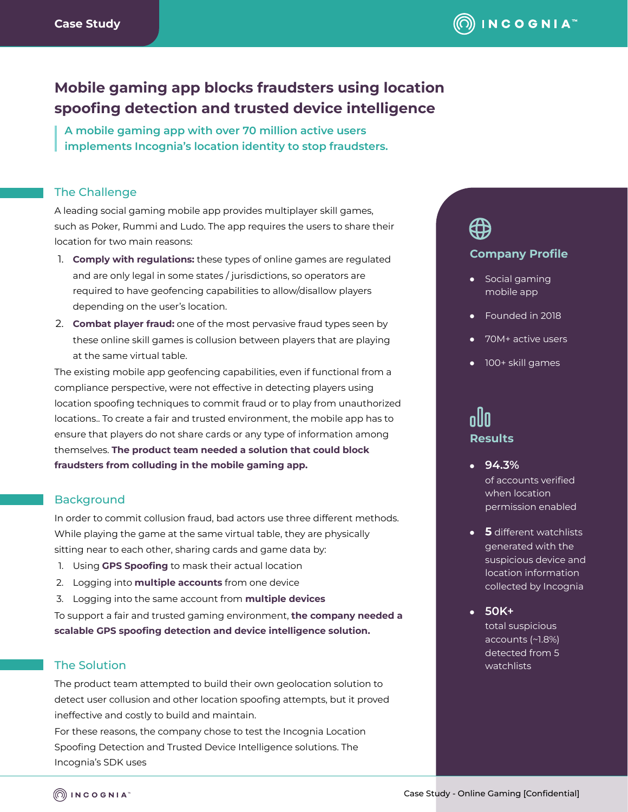# **Mobile gaming app blocks fraudsters using location spoofing detection and trusted device intelligence**

**A mobile gaming app with over 70 million active users implements Incognia's location identity to stop fraudsters.**

#### The Challenge

A leading social gaming mobile app provides multiplayer skill games, such as Poker, Rummi and Ludo. The app requires the users to share their location for two main reasons:

- 1. **Comply with regulations:** these types of online games are regulated and are only legal in some states / jurisdictions, so operators are required to have geofencing capabilities to allow/disallow players depending on the user's location.
- 2. **Combat player fraud:** one of the most pervasive fraud types seen by these online skill games is collusion between players that are playing at the same virtual table.

The existing mobile app geofencing capabilities, even if functional from a compliance perspective, were not effective in detecting players using location spoofing techniques to commit fraud or to play from unauthorized locations.. To create a fair and trusted environment, the mobile app has to ensure that players do not share cards or any type of information among themselves. **The product team needed a solution that could block fraudsters from colluding in the mobile gaming app.**

#### **Background**

In order to commit collusion fraud, bad actors use three different methods. While playing the game at the same virtual table, they are physically sitting near to each other, sharing cards and game data by:

- 1. Using **GPS Spoofing** to mask their actual location
- 2. Logging into **multiple accounts** from one device
- 3. Logging into the same account from **multiple devices**

To support a fair and trusted gaming environment, **the company needed a scalable GPS spoofing detection and device intelligence solution.** 

### The Solution

The product team attempted to build their own geolocation solution to detect user collusion and other location spoofing attempts, but it proved ineffective and costly to build and maintain.

For these reasons, the company chose to test the Incognia Location Spoofing Detection and Trusted Device Intelligence solutions. The Incognia's SDK uses

# ⇔

#### **Company Profile**

- Social gaming mobile app
- Founded in 2018
- 70M+ active users
- 100+ skill games

# nlln **Results**

- **94.3%** of accounts verified when location permission enabled
- **5** different watchlists generated with the suspicious device and location information collected by Incognia
- **50K+**

total suspicious accounts (~1.8%) detected from 5 watchlists